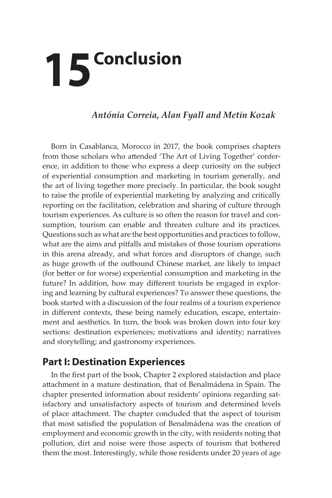## **15 Conclusion**

## *Antónia Correia, Alan Fyall and Metin Kozak*

Born in Casablanca, Morocco in 2017, the book comprises chapters from those scholars who attended 'The Art of Living Together' conference, in addition to those who express a deep curiosity on the subject of experiential consumption and marketing in tourism generally, and the art of living together more precisely. In particular, the book sought to raise the profile of experiential marketing by analyzing and critically reporting on the facilitation, celebration and sharing of culture through tourism experiences. As culture is so often the reason for travel and consumption, tourism can enable and threaten culture and its practices. Questions such as what are the best opportunities and practices to follow, what are the aims and pitfalls and mistakes of those tourism operations in this arena already, and what forces and disruptors of change, such as huge growth of the outbound Chinese market, are likely to impact (for better or for worse) experiential consumption and marketing in the future? In addition, how may different tourists be engaged in exploring and learning by cultural experiences? To answer these questions, the book started with a discussion of the four realms of a tourism experience in different contexts, these being namely education, escape, entertainment and aesthetics. In turn, the book was broken down into four key sections: destination experiences; motivations and identity; narratives and storytelling; and gastronomy experiences.

## **Part I: Destination Experiences**

In the first part of the book, Chapter 2 explored staisfaction and place attachment in a mature destination, that of Benalmádena in Spain. The chapter presented information about residents' opinions regarding satisfactory and unsatisfactory aspects of tourism and determined levels of place attachment. The chapter concluded that the aspect of tourism that most satisfied the population of Benalmádena was the creation of employment and economic growth in the city, with residents noting that pollution, dirt and noise were those aspects of tourism that bothered them the most. Interestingly, while those residents under 20 years of age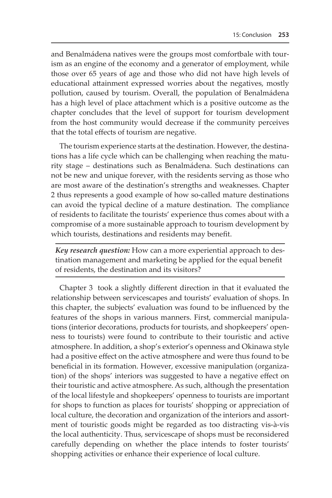and Benalmádena natives were the groups most comfortbale with tourism as an engine of the economy and a generator of employment, while those over 65 years of age and those who did not have high levels of educational attainment expressed worries about the negatives, mostly pollution, caused by tourism. Overall, the population of Benalmádena has a high level of place attachment which is a positive outcome as the chapter concludes that the level of support for tourism development from the host community would decrease if the community perceives that the total effects of tourism are negative.

The tourism experience starts at the destination. However, the destinations has a life cycle which can be challenging when reaching the maturity stage – destinations such as Benalmádena. Such destinations can not be new and unique forever, with the residents serving as those who are most aware of the destination's strengths and weaknesses. Chapter 2 thus represents a good example of how so-called mature destinations can avoid the typical decline of a mature destination. The compliance of residents to facilitate the tourists' experience thus comes about with a compromise of a more sustainable approach to tourism development by which tourists, destinations and residents may benefit.

*Key research question:* How can a more experiential approach to destination management and marketing be applied for the equal benefit of residents, the destination and its visitors?

Chapter 3 took a slightly different direction in that it evaluated the relationship between servicescapes and tourists' evaluation of shops. In this chapter, the subjects' evaluation was found to be influenced by the features of the shops in various manners. First, commercial manipulations (interior decorations, products for tourists, and shopkeepers' openness to tourists) were found to contribute to their touristic and active atmosphere. In addition, a shop's exterior's openness and Okinawa style had a positive effect on the active atmosphere and were thus found to be beneficial in its formation. However, excessive manipulation (organization) of the shops' interiors was suggested to have a negative effect on their touristic and active atmosphere. As such, although the presentation of the local lifestyle and shopkeepers' openness to tourists are important for shops to function as places for tourists' shopping or appreciation of local culture, the decoration and organization of the interiors and assortment of touristic goods might be regarded as too distracting vis-à-vis the local authenticity. Thus, servicescape of shops must be reconsidered carefully depending on whether the place intends to foster tourists' shopping activities or enhance their experience of local culture.